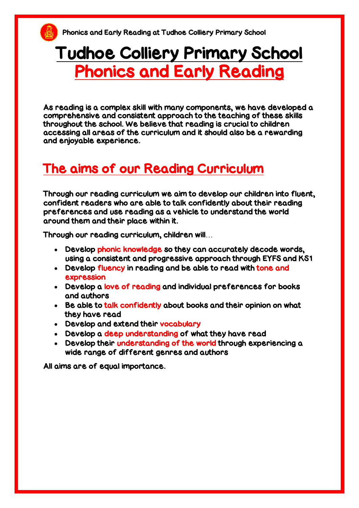# Tudhoe Colliery Primary School Phonics and Early Reading

As reading is a complex skill with many components, we have developed a comprehensive and consistent approach to the teaching of these skills throughout the school. We believe that reading is crucial to children accessing all areas of the curriculum and it should also be a rewarding and enjoyable experience.

# The aims of our Reading Curriculum

Through our reading curriculum we aim to develop our children into fluent, confident readers who are able to talk confidently about their reading preferences and use reading as a vehicle to understand the world around them and their place within it.

Through our reading curriculum, children will…

- Develop phonic knowledge so they can accurately decode words, using a consistent and progressive approach through EYFS and KS1
- . Develop fluency in reading and be able to read with tone and expression
- Develop a love of reading and individual preferences for books and authors
- Be able to talk confidently about books and their opinion on what they have read
- Develop and extend their vocabulary
- Develop a deep understanding of what they have read
- Develop their understanding of the world through experiencing a wide range of different genres and authors

All aims are of equal importance.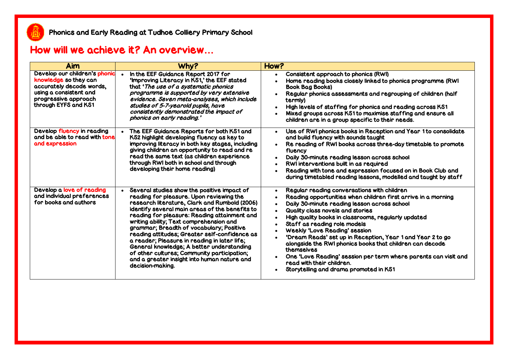#### How will we achieve it? An overview**…**

| <b>Aim</b>                                                                                                                                                   | Why?                                                                                                                                                                                                                                                                                                                                                                                                                                                                                                                                                                                              | How?                                                                                                                                                                                                                                                                                                                                                                                                                                                                                                                                                                                                                                                                               |
|--------------------------------------------------------------------------------------------------------------------------------------------------------------|---------------------------------------------------------------------------------------------------------------------------------------------------------------------------------------------------------------------------------------------------------------------------------------------------------------------------------------------------------------------------------------------------------------------------------------------------------------------------------------------------------------------------------------------------------------------------------------------------|------------------------------------------------------------------------------------------------------------------------------------------------------------------------------------------------------------------------------------------------------------------------------------------------------------------------------------------------------------------------------------------------------------------------------------------------------------------------------------------------------------------------------------------------------------------------------------------------------------------------------------------------------------------------------------|
| Develop our children's phonic<br>knowledge so they can<br>accurately decode words,<br>using a consistent and<br>progressive approach<br>through EYFS and KS1 | In the EEF Guidance Report 2017 for<br>'Improving Literacy in KS1,' the EEF stated<br>that 'The use of a systematic phonics<br>programme is supported by very extensive<br>evidence. Seven meta-analyses, which include<br>studies of 5-7-yearold pupils, have<br>consistently demonstrated the impact of<br>phonics on early reading.'                                                                                                                                                                                                                                                           | Consistent approach to phonics (RWI)<br>$\bullet$<br>Home reading books closely linked to phonics programme (RWI<br><b>Book Bag Books)</b><br>Regular phonics assessments and regrouping of children (half<br>$\bullet$<br>termly)<br>High levels of staffing for phonics and reading across KS1<br>Mixed groups across KS1 to maximise staffing and ensure all<br>children are in a group specific to their needs.                                                                                                                                                                                                                                                                |
| Develop fluency in reading<br>and be able to read with tone<br>and expression                                                                                | The EEF Guidance Reports for both KS1 and<br>KS2 highlight developing fluency as key to<br>improving literacy in both key stages, including<br>giving children an opportunity to read and re<br>read the same text (as children experience<br>through RWI both in school and through<br>developing their home reading)                                                                                                                                                                                                                                                                            | Use of RWI phonics books in Reception and Year 1 to consolidate<br>$\bullet$<br>and build fluency with sounds taught<br>Re reading of RWI books across three-day timetable to promote<br>$\bullet$<br>fluency<br>Daily 30-minute reading lesson across school<br>$\bullet$<br>RWI interventions built in as required<br>Reading with tone and expression focused on in Book Club and<br>during timetabled reading lessons, modelled and taught by staff                                                                                                                                                                                                                            |
| Develop a love of reading<br>and individual preferences<br>for books and authors                                                                             | Several studies show the positive impact of<br>reading for pleasure. Upon reviewing the<br>research literature, Clark and Rumbold (2006)<br>identify several main areas of the benefits to<br>reading for pleasure: Reading attainment and<br>writing ability; Text comprehension and<br>grammar; Breadth of vocabulary; Positive<br>reading attitudes; Greater self-confidence as<br>a reader; Pleasure in reading in later life;<br>General knowledge; A better understanding<br>of other cultures; Community participation;<br>and a greater insight into human nature and<br>decision-making. | Regular reading conversations with children<br>$\bullet$<br>Reading opportunities when children first arrive in a morning<br>Daily 30-minute reading lesson across school<br>$\bullet$<br>Quality class novels and stories<br>$\bullet$<br>High quality books in classrooms, regularly updated<br>Staff as reading role models<br>$\bullet$<br><b>Weekly 'Love Reading' session</b><br>'Dream Reads' set up in Reception, Year 1 and Year 2 to go<br>alongside the RWI phonics books that children can decode<br>themselves<br>One 'Love Reading' session per term where parents can visit and<br>$\bullet$<br>read with their children.<br>Storytelling and drama promoted in KS1 |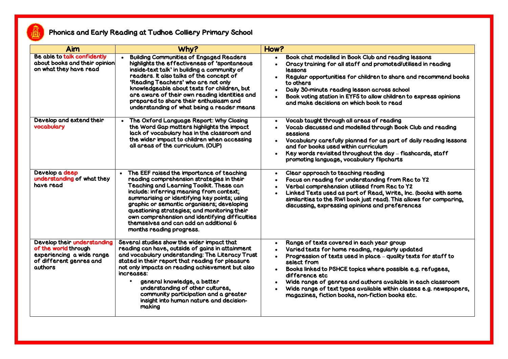

#### Phonics and Early Reading at Tudhoe Colliery Primary School

| Aim                                                                                                                    | Why?                                                                                                                                                                                                                                                                                                                                                                                                                                                 | How?                                                                                                                                                                                                                                                                                                                                                                                                                                                                                                          |
|------------------------------------------------------------------------------------------------------------------------|------------------------------------------------------------------------------------------------------------------------------------------------------------------------------------------------------------------------------------------------------------------------------------------------------------------------------------------------------------------------------------------------------------------------------------------------------|---------------------------------------------------------------------------------------------------------------------------------------------------------------------------------------------------------------------------------------------------------------------------------------------------------------------------------------------------------------------------------------------------------------------------------------------------------------------------------------------------------------|
| Be able to talk confidently<br>about books and their opinion<br>on what they have read                                 | <b>Building Communities of Engaged Readers</b><br>highlights the effectiveness of 'spontaneous<br>inside-text talk' in building a community of<br>readers. It also talks of the concept of<br>'Reading Teachers' who are not only<br>knowledgeable about texts for children, but<br>are aware of their own reading identities and<br>prepared to share their enthusiasm and<br>understanding of what being a reader means                            | Book chat modelled in Book Club and reading lessons<br>$\bullet$<br>Oracy training for all staff and promoted/utilised in reading<br>$\bullet$<br>lessons<br>Regular opportunities for children to share and recommend books<br>$\bullet$<br>to others<br>Daily 30-minute reading lesson across school<br>$\bullet$<br>Book voting station in EYFS to allow children to express opinions<br>and make decisions on which book to read                                                                          |
| Develop and extend their<br>vocabulary                                                                                 | The Oxford Language Report: Why Closing<br>the Word Gap matters highlights the impact<br>lack of vocabulary has in the classroom and<br>the wider impact to children when accessing<br>all areas of the curriculum. (OUP)                                                                                                                                                                                                                            | Vocab taught through all areas of reading<br>$\bullet$<br>Vocab discussed and modelled through Book Club and reading<br><b>sessions</b><br>Vocabulary carefully planned for as part of daily reading lessons<br>$\bullet$<br>and for books used within curriculum<br>Key words revisited throughout the day - flashcards, staff<br>$\bullet$<br>promoting language, vocabulary flipcharts                                                                                                                     |
| Develop a deep<br>understanding of what they<br>have read                                                              | The EEF raised the importance of teaching<br>reading comprehension strategies in their<br>Teaching and Learning Toolkit. These can<br>include: inferring meaning from context;<br>summarising or identifying key points; using<br>graphic or semantic organisers; developing<br>questioning strategies; and monitoring their<br>own comprehension and identifying difficulties<br>themselves and can add an additional 6<br>months reading progress. | Clear approach to teaching reading<br>$\bullet$<br>Focus on reading for understanding from Rec to Y2<br>$\bullet$<br>Verbal comprehension utilised from Rec to Y2<br>$\bullet$<br>Linked Texts used as part of Read, Write, Inc. (books with some<br>similarities to the RWI book just read). This allows for comparing,<br>discussing, expressing opinions and preferences                                                                                                                                   |
| Develop their understanding<br>of the world through<br>experiencing a wide range<br>of different genres and<br>authors | Several studies show the wider impact that<br>reading can have, outside of gains in attainment<br>and vocabulary understanding: The Literacy Trust<br>stated in their report that reading for pleasure<br>not only impacts on reading achievement but also<br>increases:<br>general knowledge, a better<br>understanding of other cultures,<br>community participation and a greater<br>insight into human nature and decision-<br>making            | Range of texts covered in each year group<br>$\bullet$<br>Varied texts for home reading, regularly updated<br>$\bullet$<br>Progression of texts used in place - quality texts for staff to<br>select from<br>Books linked to PSHCE topics where possible e.g. refugees,<br>$\bullet$<br>difference etc<br>Wide range of genres and authors available in each classroom<br>Wide range of text types available within classes e.g. newspapers,<br>$\bullet$<br>magazines, fiction books, non-fiction books etc. |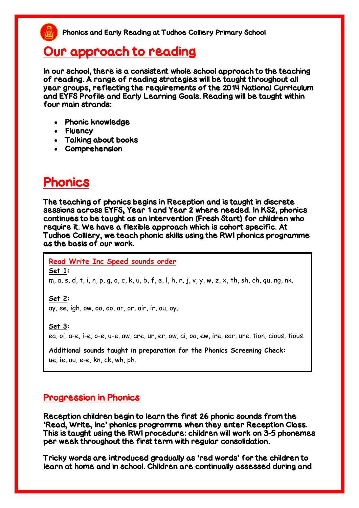### Our approach to reading

In our school, there is a consistent whole school approach to the teaching of reading. A range of reading strategies will be taught throughout all year groups, reflecting the requirements of the 2014 National Curriculum and EYFS Profile and Early Learning Goals. Reading will be taught within four main strands:

- Phonic knowledge
- Fluency
- Talking about books
- Comprehension

# Phonics

The teaching of phonics begins in Reception and is taught in discrete sessions across EYFS, Year 1 and Year 2 where needed. In KS2, phonics continues to be taught as an intervention (Fresh Start) for children who require it. We have a flexible approach which is cohort specific. At Tudhoe Colliery, we teach phonic skills using the RWI phonics programme as the basis of our work.

**Read Write Inc Speed sounds order** 

**Set 1:** 

m, a, s, d, t, i, n, p, g, o, c, k, u, b, f, e, l, h, r, j, v, y, w, z, x, th, sh, ch, qu, ng, nk.

**Set 2:** 

ay, ee, igh, ow, oo, oo, ar, or, air, ir, ou, oy.

**Set 3:** 

ea, oi, a-e, i-e, o-e, u-e, aw, are, ur, er, ow, ai, oa, ew, ire, ear, ure, tion, cious, tious.

**Additional sounds taught in preparation for the Phonics Screening Check:**  ue, ie, au, e-e, kn, ck, wh, ph.

#### Progression in Phonics

Reception children begin to learn the first 26 phonic sounds from the 'Read, Write, Inc' phonics programme when they enter Reception Class. This is taught using the RWI procedure: children will work on 3-5 phonemes per week throughout the first term with regular consolidation.

Tricky words are introduced gradually as 'red words' for the children to learn at home and in school. Children are continually assessed during and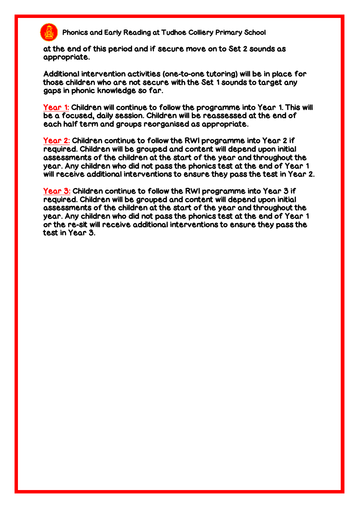

Phonics and Early Reading at Tudhoe Colliery Primary School

at the end of this period and if secure move on to Set 2 sounds as appropriate.

Additional intervention activities (one-to-one tutoring) will be in place for those children who are not secure with the Set 1 sounds to target any gaps in phonic knowledge so far.

Year 1: Children will continue to follow the programme into Year 1. This will be a focused, daily session. Children will be reassessed at the end of each half term and groups reorganised as appropriate.

Year 2: Children continue to follow the RWI programme into Year 2 if required. Children will be grouped and content will depend upon initial assessments of the children at the start of the year and throughout the year. Any children who did not pass the phonics test at the end of Year 1 will receive additional interventions to ensure they pass the test in Year 2.

Year 3: Children continue to follow the RWI programme into Year 3 if required. Children will be grouped and content will depend upon initial assessments of the children at the start of the year and throughout the year. Any children who did not pass the phonics test at the end of Year 1 or the re-sit will receive additional interventions to ensure they pass the test in Year 3.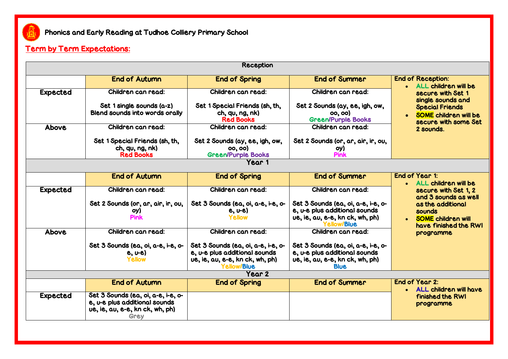

#### Term by Term Expectations:

| <b>Reception</b>  |                                                                                                                |                                                                                                                       |                                                                                                                       |                                                                                |  |
|-------------------|----------------------------------------------------------------------------------------------------------------|-----------------------------------------------------------------------------------------------------------------------|-----------------------------------------------------------------------------------------------------------------------|--------------------------------------------------------------------------------|--|
|                   | <b>End of Autumn</b>                                                                                           | <b>End of Spring</b>                                                                                                  | <b>End of Summer</b>                                                                                                  | <b>End of Reception:</b><br>• ALL children will be                             |  |
| <b>Expected</b>   | Children can read:                                                                                             | Children can read:                                                                                                    | Children can read:                                                                                                    | secure with Set 1<br>single sounds and                                         |  |
|                   | Set 1 single sounds (a-z)<br><b>Blend sounds into words orally</b>                                             | Set 1 Special Friends (sh, th,<br>ch, qu, ng, nk<br><b>Red Books</b>                                                  | Set 2 Sounds (ay, ee, igh, ow,<br>00, 00)<br><b>Green/Purple Books</b>                                                | <b>Special Friends</b><br><b>SOME</b> children will be<br>secure with some Set |  |
| <b>Above</b>      | Children can read:                                                                                             | Children can read:                                                                                                    | <b>Children can read:</b>                                                                                             | 2 sounds.                                                                      |  |
|                   | Set 1 Special Friends (sh, th,<br>ch, qv, ng, nk<br><b>Red Books</b>                                           | Set 2 Sounds (ay, ee, igh, ow,<br>00, 00)<br><b>Green/Purple Books</b>                                                | Set 2 Sounds (or, ar, air, ir, ou,<br>oy)<br><b>Pink</b>                                                              |                                                                                |  |
|                   | Year 1                                                                                                         |                                                                                                                       |                                                                                                                       |                                                                                |  |
|                   | <b>End of Autumn</b>                                                                                           | <b>End of Spring</b>                                                                                                  | <b>End of Summer</b>                                                                                                  | End of Year 1:<br>• ALL children will be                                       |  |
| <b>Expected</b>   | Children can read:                                                                                             | Children can read:                                                                                                    | Children can read:                                                                                                    | secure with Set 1, 2<br>and 3 sounds as well                                   |  |
|                   | Set 2 Sounds (or, ar, air, ir, ou,<br>oy)<br>Pink                                                              | Set 3 Sounds (ea, oi, a-e, i-e, o-<br>$e, v-e$<br><b>Yellow</b>                                                       | Set 3 Sounds (ea, oi, a-e, i-e, o-<br>e, u-e plus additional sounds<br>ue, ie, au, e-e, kn ck, wh, ph)<br>Yellow/Blue | as the additional<br>sounds<br>• SOME children will                            |  |
| <b>Above</b>      | Children can read:                                                                                             | Children can read:                                                                                                    | <b>Children can read:</b>                                                                                             | have finished the RWI<br>programme                                             |  |
|                   | Set 3 Sounds (ea, oi, a-e, i-e, o-<br>$e, v-e$<br><b>Yellow</b>                                                | Set 3 Sounds (ea, oi, a-e, i-e, o-<br>e, u-e plus additional sounds<br>ue, ie, au, e-e, kn ck, wh, ph)<br>Yellow/Blue | Set 3 Sounds (ea, oi, a-e, i-e, o-<br>e, u-e plus additional sounds<br>ue, ie, au, e-e, kn ck, wh, ph)<br><b>Blue</b> |                                                                                |  |
| Year <sub>2</sub> |                                                                                                                |                                                                                                                       |                                                                                                                       |                                                                                |  |
|                   | <b>End of Autumn</b>                                                                                           | <b>End of Spring</b>                                                                                                  | <b>End of Summer</b>                                                                                                  | End of Year 2:<br>• ALL children will have                                     |  |
| <b>Expected</b>   | Set 3 Sounds (ea, oi, a-e, i-e, o-<br>e, u-e plus additional sounds<br>ue, ie, au, e-e, kn ck, wh, ph)<br>Grev |                                                                                                                       |                                                                                                                       | finished the RWI<br>programme                                                  |  |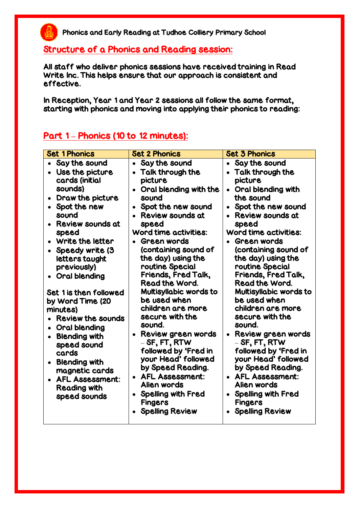#### Structure of a Phonics and Reading session:

All staff who deliver phonics sessions have received training in Read Write Inc. This helps ensure that our approach is consistent and effective.

In Reception, Year 1 and Year 2 sessions all follow the same format, starting with phonics and moving into applying their phonics to reading:

#### Part 1 **–** Phonics (10 to 12 minutes):

飍

| <b>Set 1 Phonics</b>                                                                                                                                                                                                                         | <b>Set 2 Phonics</b>                                                                                                                                                                                                                                                                                                                             | <b>Set 3 Phonics</b>                                                                                                                                                                                                                                                                                                            |
|----------------------------------------------------------------------------------------------------------------------------------------------------------------------------------------------------------------------------------------------|--------------------------------------------------------------------------------------------------------------------------------------------------------------------------------------------------------------------------------------------------------------------------------------------------------------------------------------------------|---------------------------------------------------------------------------------------------------------------------------------------------------------------------------------------------------------------------------------------------------------------------------------------------------------------------------------|
| Say the sound<br>$\bullet$<br>• Use the picture<br>cards (initial<br>sounds)<br>• Draw the picture                                                                                                                                           | Say the sound<br>$\bullet$<br>Talk through the<br>picture<br>Oral blending with the<br>$\bullet$<br>sound                                                                                                                                                                                                                                        | Say the sound<br>$\bullet$<br>• Talk through the<br>picture<br>Oral blending with<br>the sound                                                                                                                                                                                                                                  |
| Spot the new<br>$\bullet$<br>sound<br>• Review sounds at<br>speed<br>• Write the letter<br>• Speedy write (3<br>letters taught<br>previously)<br>• Oral blending                                                                             | Spot the new sound<br>$\bullet$<br><b>Review sounds at</b><br>speed<br><b>Word time activities:</b><br>Green words<br>(containing sound of<br>the day) using the<br>routine Special<br>Friends, Fred Talk,                                                                                                                                       | Spot the new sound<br>$\bullet$<br><b>Review sounds at</b><br>speed<br><b>Word time activities:</b><br>Green words<br>(containing sound of<br>the day) using the<br>routine Special<br>Friends, Fred Talk,                                                                                                                      |
| Set 1 is then followed<br>by Word Time (20<br>minutes)<br>• Review the sounds<br>• Oral blending<br>• Blending with<br>speed sound<br>cards<br>• Blending with<br>magnetic cards<br>• AFL Assessment:<br><b>Reading with</b><br>speed sounds | <b>Read the Word.</b><br>Multisyllabic words to<br>be used when<br>children are more<br>secure with the<br>sound.<br>Review green words<br>$-$ SF, FT, RTW<br>followed by 'Fred in<br>your Head' followed<br>by Speed Reading.<br><b>AFL Assessment:</b><br>Alien words<br><b>Spelling with Fred</b><br><b>Fingers</b><br><b>Spelling Review</b> | Read the Word.<br>Multisyllabic words to<br>be used when<br>children are more<br>secure with the<br>sound.<br>Review green words<br>$-$ SF, FT, RTW<br>followed by 'Fred in<br>your Head' followed<br>by Speed Reading.<br>• AFL Assessment:<br>Alien words<br>• Spelling with Fred<br><b>Fingers</b><br><b>Spelling Review</b> |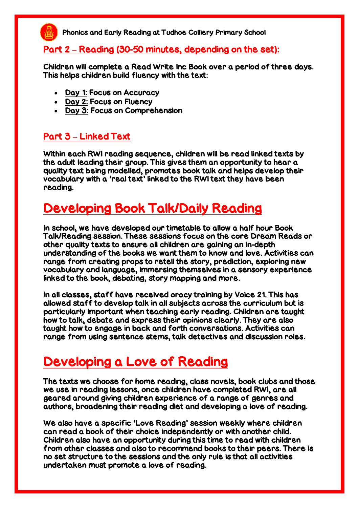

#### Part 2 **–** Reading (30-50 minutes, depending on the set):

Children will complete a Read Write Inc Book over a period of three days. This helps children build fluency with the text:

- Day 1: Focus on Accuracy
- Day 2: Focus on Fluency
- Day 3: Focus on Comprehension

#### Part 3 **–** Linked Text

Within each RWI reading sequence, children will be read linked texts by the adult leading their group. This gives them an opportunity to hear a quality text being modelled, promotes book talk and helps develop their vocabulary with a 'real text' linked to the RWI text they have been reading.

### Developing Book Talk/Daily Reading

In school, we have developed our timetable to allow a half hour Book Talk/Reading session. These sessions focus on the core Dream Reads or other quality texts to ensure all children are gaining an in-depth understanding of the books we want them to know and love. Activities can range from creating props to retell the story, prediction, exploring new vocabulary and language, immersing themselves in a sensory experience linked to the book, debating, story mapping and more.

In all classes, staff have received oracy training by Voice 21. This has allowed staff to develop talk in all subjects across the curriculum but is particularly important when teaching early reading. Children are taught how to talk, debate and express their opinions clearly. They are also taught how to engage in back and forth conversations. Activities can range from using sentence stems, talk detectives and discussion roles.

### Developing a Love of Reading

The texts we choose for home reading, class novels, book clubs and those we use in reading lessons, once children have completed RWI, are all geared around giving children experience of a range of genres and authors, broadening their reading diet and developing a love of reading.

We also have a specific 'Love Reading' session weekly where children can read a book of their choice independently or with another child. Children also have an opportunity during this time to read with children from other classes and also to recommend books to their peers. There is no set structure to the sessions and the only rule is that all activities undertaken must promote a love of reading.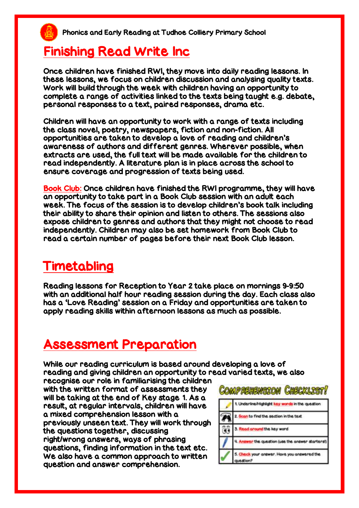### Finishing Read Write Inc

Once children have finished RWI, they move into daily reading lessons. In these lessons, we focus on children discussion and analysing quality texts. Work will build through the week with children having an opportunity to complete a range of activities linked to the texts being taught e.g. debate, personal responses to a text, paired responses, drama etc.

Children will have an opportunity to work with a range of texts including the class novel, poetry, newspapers, fiction and non-fiction. All opportunities are taken to develop a love of reading and children's awareness of authors and different genres. Wherever possible, when extracts are used, the full text will be made available for the children to read independently. A literature plan is in place across the school to ensure coverage and progression of texts being used.

Book Club: Once children have finished the RWI programme, they will have an opportunity to take part in a Book Club session with an adult each week. The focus of the session is to develop children's book talk including their ability to share their opinion and listen to others. The sessions also expose children to genres and authors that they might not choose to read independently. Children may also be set homework from Book Club to read a certain number of pages before their next Book Club lesson.

#### Timetabling

Reading lessons for Reception to Year 2 take place on mornings 9-9:50 with an additional half hour reading session during the day. Each class also has a 'Love Reading' session on a Friday and opportunities are taken to apply reading skills within afternoon lessons as much as possible.

### Assessment Preparation

While our reading curriculum is based around developing a love of reading and giving children an opportunity to read varied texts, we also

recognise our role in familiarising the children with the written format of assessments they will be taking at the end of Key stage 1. As a result, at regular intervals, children will have a mixed comprehension lesson with a previously unseen text. They will work through the questions together, discussing right/wrong answers, ways of phrasing questions, finding information in the text etc. We also have a common approach to written question and answer comprehension.

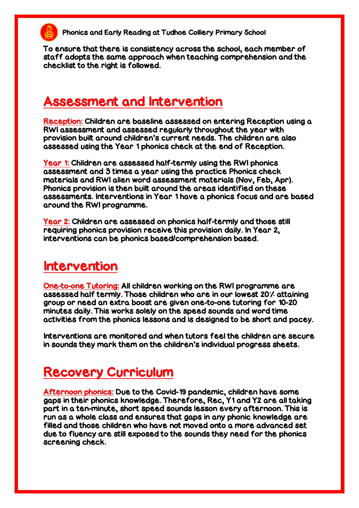To ensure that there is consistency across the school, each member of staff adopts the same approach when teaching comprehension and the checklist to the right is followed.

#### Assessment and Intervention

Reception: Children are baseline assessed on entering Reception using a RWI assessment and assessed regularly throughout the year with provision built around children's current needs. The children are also assessed using the Year 1 phonics check at the end of Reception.

Year 1: Children are assessed half-termly using the RWI phonics assessment and 3 times a year using the practice Phonics check materials and RWI alien word assessment materials (Nov, Feb, Apr). Phonics provision is then built around the areas identified on these assessments. Interventions in Year 1 have a phonics focus and are based around the RWI programme.

Year 2: Children are assessed on phonics half-termly and those still requiring phonics provision receive this provision daily. In Year 2, interventions can be phonics based/comprehension based.

#### Intervention

One-to-one Tutoring: All children working on the RWI programme are assessed half termly. Those children who are in our lowest 20% attaining group or need an extra boost are given one-to-one tutoring for 10-20 minutes daily. This works solely on the speed sounds and word time activities from the phonics lessons and is designed to be short and pacey.

Interventions are monitored and when tutors feel the children are secure in sounds they mark them on the children's individual progress sheets.

### Recovery Curriculum

Afternoon phonics: Due to the Covid-19 pandemic, children have some gaps in their phonics knowledge. Therefore, Rec, Y1 and Y2 are all taking part in a ten-minute, short speed sounds lesson every afternoon. This is run as a whole class and ensures that gaps in any phonic knowledge are filled and those children who have not moved onto a more advanced set due to fluency are still exposed to the sounds they need for the phonics screening check.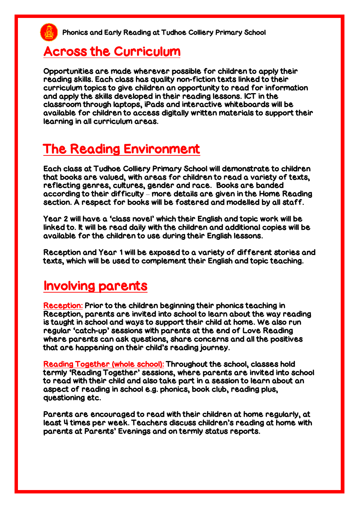#### Across the Curriculum

Opportunities are made wherever possible for children to apply their reading skills. Each class has quality non-fiction texts linked to their curriculum topics to give children an opportunity to read for information and apply the skills developed in their reading lessons. ICT in the classroom through laptops, iPads and interactive whiteboards will be available for children to access digitally written materials to support their learning in all curriculum areas.

# The Reading Environment

Each class at Tudhoe Colliery Primary School will demonstrate to children that books are valued, with areas for children to read a variety of texts, reflecting genres, cultures, gender and race. Books are banded according to their difficulty – more details are given in the Home Reading section. A respect for books will be fostered and modelled by all staff.

Year 2 will have a 'class novel' which their English and topic work will be linked to. It will be read daily with the children and additional copies will be available for the children to use during their English lessons.

Reception and Year 1 will be exposed to a variety of different stories and texts, which will be used to complement their English and topic teaching.

#### Involving parents

Reception: Prior to the children beginning their phonics teaching in Reception, parents are invited into school to learn about the way reading is taught in school and ways to support their child at home. We also run regular 'catch-up' sessions with parents at the end of Love Reading where parents can ask questions, share concerns and all the positives that are happening on their child's reading journey.

Reading Together (whole school): Throughout the school, classes hold termly 'Reading Together' sessions, where parents are invited into school to read with their child and also take part in a session to learn about an aspect of reading in school e.g. phonics, book club, reading plus, questioning etc.

Parents are encouraged to read with their children at home regularly, at least 4 times per week. Teachers discuss children's reading at home with parents at Parents' Evenings and on termly status reports.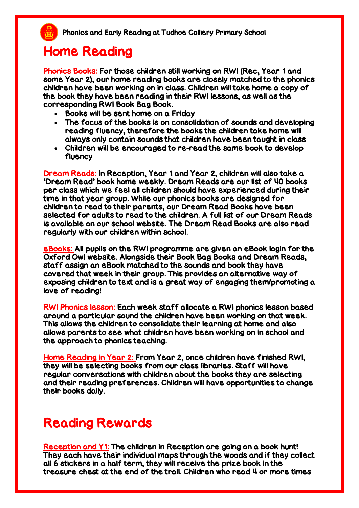### Home Reading

Phonics Books: For those children still working on RWI (Rec, Year 1 and some Year 2), our home reading books are closely matched to the phonics children have been working on in class. Children will take home a copy of the book they have been reading in their RWI lessons, as well as the corresponding RWI Book Bag Book.

- Books will be sent home on a Friday
- The focus of the books is on consolidation of sounds and developing reading fluency, therefore the books the children take home will always only contain sounds that children have been taught in class
- Children will be encouraged to re-read the same book to develop fluency

Dream Reads: In Reception, Year 1 and Year 2, children will also take a 'Dream Read' book home weekly. Dream Reads are our list of 40 books per class which we feel all children should have experienced during their time in that year group. While our phonics books are designed for children to read to their parents, our Dream Read Books have been selected for adults to read to the children. A full list of our Dream Reads is available on our school website. The Dream Read Books are also read regularly with our children within school.

eBooks: All pupils on the RWI programme are given an eBook login for the Oxford Owl website. Alongside their Book Bag Books and Dream Reads, staff assign an eBook matched to the sounds and book they have covered that week in their group. This provides an alternative way of exposing children to text and is a great way of engaging them/promoting a love of reading!

RWI Phonics lesson: Each week staff allocate a RWI phonics lesson based around a particular sound the children have been working on that week. This allows the children to consolidate their learning at home and also allows parents to see what children have been working on in school and the approach to phonics teaching.

Home Reading in Year 2: From Year 2, once children have finished RWI, they will be selecting books from our class libraries. Staff will have regular conversations with children about the books they are selecting and their reading preferences. Children will have opportunities to change their books daily.

### Reading Rewards

Reception and Y1: The children in Reception are going on a book hunt! They each have their individual maps through the woods and if they collect all 6 stickers in a half term, they will receive the prize book in the treasure chest at the end of the trail. Children who read 4 or more times